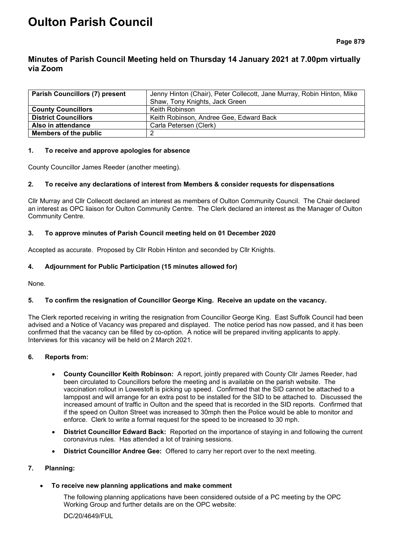# **Oulton Parish Council**

# **Minutes of Parish Council Meeting held on Thursday 14 January 2021 at 7.00pm virtually via Zoom**

| <b>Parish Councillors (7) present</b> | Jenny Hinton (Chair), Peter Collecott, Jane Murray, Robin Hinton, Mike |  |
|---------------------------------------|------------------------------------------------------------------------|--|
|                                       | Shaw, Tony Knights, Jack Green                                         |  |
| <b>County Councillors</b>             | Keith Robinson                                                         |  |
| <b>District Councillors</b>           | Keith Robinson, Andree Gee, Edward Back                                |  |
| Also in attendance                    | Carla Petersen (Clerk)                                                 |  |
| Members of the public                 |                                                                        |  |

# **1. To receive and approve apologies for absence**

County Councillor James Reeder (another meeting).

# **2. To receive any declarations of interest from Members & consider requests for dispensations**

Cllr Murray and Cllr Collecott declared an interest as members of Oulton Community Council. The Chair declared an interest as OPC liaison for Oulton Community Centre. The Clerk declared an interest as the Manager of Oulton Community Centre.

# **3. To approve minutes of Parish Council meeting held on 01 December 2020**

Accepted as accurate. Proposed by Cllr Robin Hinton and seconded by Cllr Knights.

# **4. Adjournment for Public Participation (15 minutes allowed for)**

None.

# **5. To confirm the resignation of Councillor George King. Receive an update on the vacancy.**

The Clerk reported receiving in writing the resignation from Councillor George King. East Suffolk Council had been advised and a Notice of Vacancy was prepared and displayed. The notice period has now passed, and it has been confirmed that the vacancy can be filled by co-option. A notice will be prepared inviting applicants to apply. Interviews for this vacancy will be held on 2 March 2021.

#### **6. Reports from:**

- **County Councillor Keith Robinson:** A report, jointly prepared with County Cllr James Reeder, had been circulated to Councillors before the meeting and is available on the parish website. The vaccination rollout in Lowestoft is picking up speed. Confirmed that the SID cannot be attached to a lamppost and will arrange for an extra post to be installed for the SID to be attached to. Discussed the increased amount of traffic in Oulton and the speed that is recorded in the SID reports. Confirmed that if the speed on Oulton Street was increased to 30mph then the Police would be able to monitor and enforce. Clerk to write a formal request for the speed to be increased to 30 mph.
- **District Councillor Edward Back:** Reported on the importance of staying in and following the current coronavirus rules. Has attended a lot of training sessions.
- **District Councillor Andree Gee:** Offered to carry her report over to the next meeting.

# **7. Planning:**

#### • **To receive new planning applications and make comment**

The following planning applications have been considered outside of a PC meeting by the OPC Working Group and further details are on the OPC website:

DC/20/4649/FUL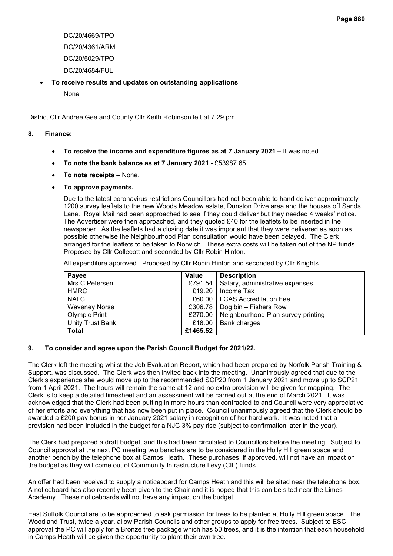- DC/20/4669/TPO DC/20/4361/ARM DC/20/5029/TPO DC/20/4684/FUL
- **To receive results and updates on outstanding applications**
	- None

District Cllr Andree Gee and County Cllr Keith Robinson left at 7.29 pm.

# **8. Finance:**

- **To receive the income and expenditure figures as at 7 January 2021 –** It was noted.
- **To note the bank balance as at 7 January 2021 -** £53987.65
- **To note receipts** None.
- **To approve payments.**

Due to the latest coronavirus restrictions Councillors had not been able to hand deliver approximately 1200 survey leaflets to the new Woods Meadow estate, Dunston Drive area and the houses off Sands Lane. Royal Mail had been approached to see if they could deliver but they needed 4 weeks' notice. The Advertiser were then approached, and they quoted £40 for the leaflets to be inserted in the newspaper. As the leaflets had a closing date it was important that they were delivered as soon as possible otherwise the Neighbourhood Plan consultation would have been delayed. The Clerk arranged for the leaflets to be taken to Norwich. These extra costs will be taken out of the NP funds. Proposed by Cllr Collecott and seconded by Cllr Robin Hinton.

All expenditure approved. Proposed by Cllr Robin Hinton and seconded by Cllr Knights.

| Payee                | Value    | <b>Description</b>                 |
|----------------------|----------|------------------------------------|
| Mrs C Petersen       | £791.54  | Salary, administrative expenses    |
| <b>HMRC</b>          | £19.20   | Income Tax                         |
| <b>NALC</b>          | £60.00   | LCAS Accreditation Fee             |
| <b>Waveney Norse</b> | £306.78  | Dog bin – Fishers Row              |
| Olympic Print        | £270.00  | Neighbourhood Plan survey printing |
| Unity Trust Bank     | £18.00   | <b>Bank charges</b>                |
| <b>Total</b>         | £1465.52 |                                    |

# **9. To consider and agree upon the Parish Council Budget for 2021/22.**

The Clerk left the meeting whilst the Job Evaluation Report, which had been prepared by Norfolk Parish Training & Support. was discussed. The Clerk was then invited back into the meeting. Unanimously agreed that due to the Clerk's experience she would move up to the recommended SCP20 from 1 January 2021 and move up to SCP21 from 1 April 2021. The hours will remain the same at 12 and no extra provision will be given for mapping. The Clerk is to keep a detailed timesheet and an assessment will be carried out at the end of March 2021. It was acknowledged that the Clerk had been putting in more hours than contracted to and Council were very appreciative of her efforts and everything that has now been put in place. Council unanimously agreed that the Clerk should be awarded a £200 pay bonus in her January 2021 salary in recognition of her hard work. It was noted that a provision had been included in the budget for a NJC 3% pay rise (subject to confirmation later in the year).

The Clerk had prepared a draft budget, and this had been circulated to Councillors before the meeting. Subject to Council approval at the next PC meeting two benches are to be considered in the Holly Hill green space and another bench by the telephone box at Camps Heath. These purchases, if approved, will not have an impact on the budget as they will come out of Community Infrastructure Levy (CIL) funds.

An offer had been received to supply a noticeboard for Camps Heath and this will be sited near the telephone box. A noticeboard has also recently been given to the Chair and it is hoped that this can be sited near the Limes Academy. These noticeboards will not have any impact on the budget.

East Suffolk Council are to be approached to ask permission for trees to be planted at Holly Hill green space. The Woodland Trust, twice a year, allow Parish Councils and other groups to apply for free trees. Subject to ESC approval the PC will apply for a Bronze tree package which has 50 trees, and it is the intention that each household in Camps Heath will be given the opportunity to plant their own tree.